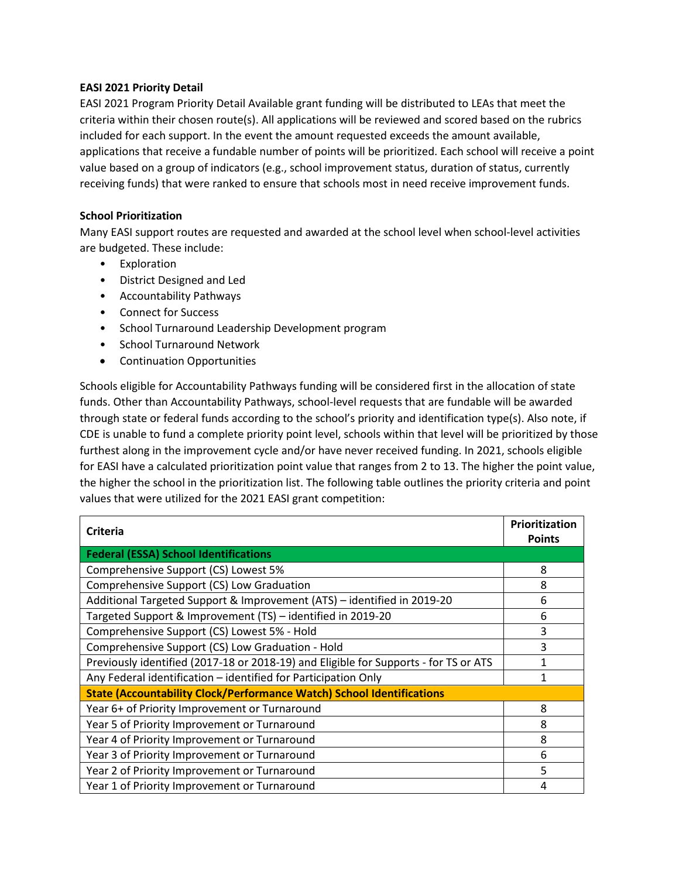## **EASI 2021 Priority Detail**

EASI 2021 Program Priority Detail Available grant funding will be distributed to LEAs that meet the criteria within their chosen route(s). All applications will be reviewed and scored based on the rubrics included for each support. In the event the amount requested exceeds the amount available, applications that receive a fundable number of points will be prioritized. Each school will receive a point value based on a group of indicators (e.g., school improvement status, duration of status, currently receiving funds) that were ranked to ensure that schools most in need receive improvement funds.

## **School Prioritization**

Many EASI support routes are requested and awarded at the school level when school-level activities are budgeted. These include:

- Exploration
- District Designed and Led
- Accountability Pathways
- Connect for Success
- School Turnaround Leadership Development program
- School Turnaround Network
- Continuation Opportunities

Schools eligible for Accountability Pathways funding will be considered first in the allocation of state funds. Other than Accountability Pathways, school-level requests that are fundable will be awarded through state or federal funds according to the school's priority and identification type(s). Also note, if CDE is unable to fund a complete priority point level, schools within that level will be prioritized by those furthest along in the improvement cycle and/or have never received funding. In 2021, schools eligible for EASI have a calculated prioritization point value that ranges from 2 to 13. The higher the point value, the higher the school in the prioritization list. The following table outlines the priority criteria and point values that were utilized for the 2021 EASI grant competition:

| <b>Criteria</b>                                                                      | Prioritization<br><b>Points</b> |
|--------------------------------------------------------------------------------------|---------------------------------|
| <b>Federal (ESSA) School Identifications</b>                                         |                                 |
| Comprehensive Support (CS) Lowest 5%                                                 | 8                               |
| Comprehensive Support (CS) Low Graduation                                            | 8                               |
| Additional Targeted Support & Improvement (ATS) - identified in 2019-20              | 6                               |
| Targeted Support & Improvement (TS) - identified in 2019-20                          | 6                               |
| Comprehensive Support (CS) Lowest 5% - Hold                                          | 3                               |
| Comprehensive Support (CS) Low Graduation - Hold                                     | 3                               |
| Previously identified (2017-18 or 2018-19) and Eligible for Supports - for TS or ATS | 1                               |
| Any Federal identification - identified for Participation Only                       | $\mathbf{1}$                    |
| <b>State (Accountability Clock/Performance Watch) School Identifications</b>         |                                 |
| Year 6+ of Priority Improvement or Turnaround                                        | 8                               |
| Year 5 of Priority Improvement or Turnaround                                         | 8                               |
| Year 4 of Priority Improvement or Turnaround                                         | 8                               |
| Year 3 of Priority Improvement or Turnaround                                         | 6                               |
| Year 2 of Priority Improvement or Turnaround                                         | 5                               |
| Year 1 of Priority Improvement or Turnaround                                         | 4                               |